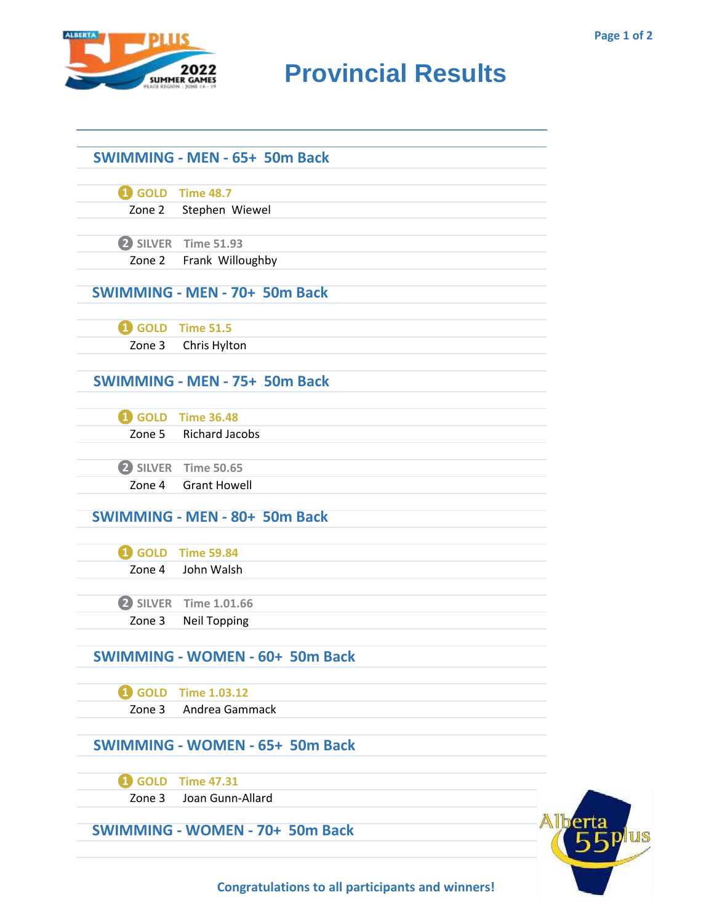

## **RIDER CAMES PROVINCIAL RESULTS**

|        | <b>SWIMMING - MEN - 65+ 50m Back</b>   |  |
|--------|----------------------------------------|--|
|        |                                        |  |
|        | <b>1</b> GOLD Time 48.7                |  |
|        | Zone 2 Stephen Wiewel                  |  |
|        |                                        |  |
|        | 2 SILVER Time 51.93                    |  |
|        | Zone 2 Frank Willoughby                |  |
|        | <b>SWIMMING - MEN - 70+ 50m Back</b>   |  |
|        |                                        |  |
|        | GOLD Time 51.5                         |  |
|        | Zone 3 Chris Hylton                    |  |
|        |                                        |  |
|        | <b>SWIMMING - MEN - 75+ 50m Back</b>   |  |
|        |                                        |  |
|        | <b>1</b> GOLD Time 36.48               |  |
|        | Zone 5 Richard Jacobs                  |  |
|        | 2 SILVER Time 50.65                    |  |
| Zone 4 | <b>Grant Howell</b>                    |  |
|        | <b>SWIMMING - MEN - 80+ 50m Back</b>   |  |
|        |                                        |  |
|        | 4 GOLD Time 59.84                      |  |
|        | Zone 4 John Walsh                      |  |
|        |                                        |  |
|        | 2 SILVER Time 1.01.66                  |  |
| Zone 3 | <b>Neil Topping</b>                    |  |
|        |                                        |  |
|        | <b>SWIMMING - WOMEN - 60+ 50m Back</b> |  |
|        | 4 GOLD Time 1.03.12                    |  |
| Zone 3 | Andrea Gammack                         |  |
|        |                                        |  |
|        | <b>SWIMMING - WOMEN - 65+ 50m Back</b> |  |
|        | 4 GOLD Time 47.31                      |  |
| Zone 3 | Joan Gunn-Allard                       |  |
|        | <b>SWIMMING - WOMEN - 70+ 50m Back</b> |  |
|        |                                        |  |



**Congratulations to all participants and winners!**